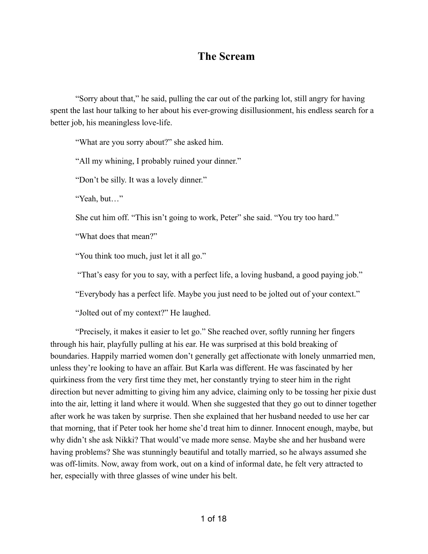## **The Scream**

"Sorry about that," he said, pulling the car out of the parking lot, still angry for having spent the last hour talking to her about his ever-growing disillusionment, his endless search for a better job, his meaningless love-life.

"What are you sorry about?" she asked him.

"All my whining, I probably ruined your dinner."

"Don't be silly. It was a lovely dinner."

"Yeah, but…"

She cut him off. "This isn't going to work, Peter" she said. "You try too hard."

"What does that mean?"

"You think too much, just let it all go."

"That's easy for you to say, with a perfect life, a loving husband, a good paying job."

"Everybody has a perfect life. Maybe you just need to be jolted out of your context."

"Jolted out of my context?" He laughed.

"Precisely, it makes it easier to let go." She reached over, softly running her fingers through his hair, playfully pulling at his ear. He was surprised at this bold breaking of boundaries. Happily married women don't generally get affectionate with lonely unmarried men, unless they're looking to have an affair. But Karla was different. He was fascinated by her quirkiness from the very first time they met, her constantly trying to steer him in the right direction but never admitting to giving him any advice, claiming only to be tossing her pixie dust into the air, letting it land where it would. When she suggested that they go out to dinner together after work he was taken by surprise. Then she explained that her husband needed to use her car that morning, that if Peter took her home she'd treat him to dinner. Innocent enough, maybe, but why didn't she ask Nikki? That would've made more sense. Maybe she and her husband were having problems? She was stunningly beautiful and totally married, so he always assumed she was off-limits. Now, away from work, out on a kind of informal date, he felt very attracted to her, especially with three glasses of wine under his belt.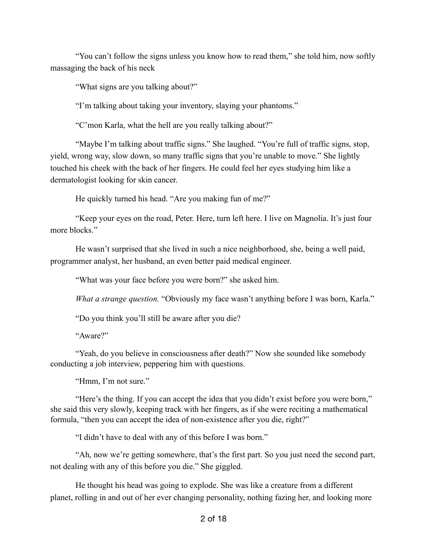"You can't follow the signs unless you know how to read them," she told him, now softly massaging the back of his neck

"What signs are you talking about?"

"I'm talking about taking your inventory, slaying your phantoms."

"C'mon Karla, what the hell are you really talking about?"

"Maybe I'm talking about traffic signs." She laughed. "You're full of traffic signs, stop, yield, wrong way, slow down, so many traffic signs that you're unable to move." She lightly touched his cheek with the back of her fingers. He could feel her eyes studying him like a dermatologist looking for skin cancer.

He quickly turned his head. "Are you making fun of me?"

"Keep your eyes on the road, Peter. Here, turn left here. I live on Magnolia. It's just four more blocks."

He wasn't surprised that she lived in such a nice neighborhood, she, being a well paid, programmer analyst, her husband, an even better paid medical engineer.

"What was your face before you were born?" she asked him.

*What a strange question.* "Obviously my face wasn't anything before I was born, Karla."

"Do you think you'll still be aware after you die?

"Aware?"

"Yeah, do you believe in consciousness after death?" Now she sounded like somebody conducting a job interview, peppering him with questions.

"Hmm, I'm not sure."

"Here's the thing. If you can accept the idea that you didn't exist before you were born," she said this very slowly, keeping track with her fingers, as if she were reciting a mathematical formula, "then you can accept the idea of non-existence after you die, right?"

"I didn't have to deal with any of this before I was born."

"Ah, now we're getting somewhere, that's the first part. So you just need the second part, not dealing with any of this before you die." She giggled.

He thought his head was going to explode. She was like a creature from a different planet, rolling in and out of her ever changing personality, nothing fazing her, and looking more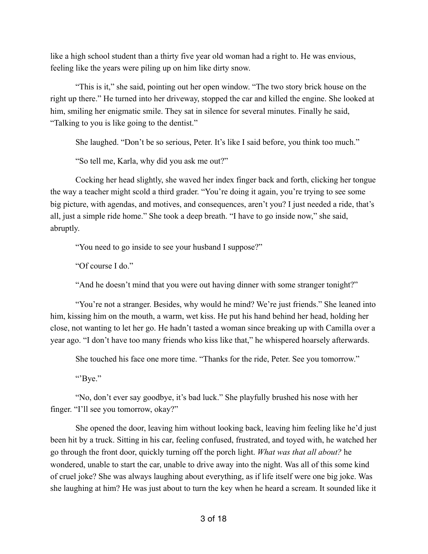like a high school student than a thirty five year old woman had a right to. He was envious, feeling like the years were piling up on him like dirty snow.

"This is it," she said, pointing out her open window. "The two story brick house on the right up there." He turned into her driveway, stopped the car and killed the engine. She looked at him, smiling her enigmatic smile. They sat in silence for several minutes. Finally he said, "Talking to you is like going to the dentist."

She laughed. "Don't be so serious, Peter. It's like I said before, you think too much."

"So tell me, Karla, why did you ask me out?"

Cocking her head slightly, she waved her index finger back and forth, clicking her tongue the way a teacher might scold a third grader. "You're doing it again, you're trying to see some big picture, with agendas, and motives, and consequences, aren't you? I just needed a ride, that's all, just a simple ride home." She took a deep breath. "I have to go inside now," she said, abruptly.

"You need to go inside to see your husband I suppose?"

"Of course I do."

"And he doesn't mind that you were out having dinner with some stranger tonight?"

"You're not a stranger. Besides, why would he mind? We're just friends." She leaned into him, kissing him on the mouth, a warm, wet kiss. He put his hand behind her head, holding her close, not wanting to let her go. He hadn't tasted a woman since breaking up with Camilla over a year ago. "I don't have too many friends who kiss like that," he whispered hoarsely afterwards.

She touched his face one more time. "Thanks for the ride, Peter. See you tomorrow."

"'Bye."

"No, don't ever say goodbye, it's bad luck." She playfully brushed his nose with her finger. "I'll see you tomorrow, okay?"

She opened the door, leaving him without looking back, leaving him feeling like he'd just been hit by a truck. Sitting in his car, feeling confused, frustrated, and toyed with, he watched her go through the front door, quickly turning off the porch light. *What was that all about?* he wondered, unable to start the car, unable to drive away into the night. Was all of this some kind of cruel joke? She was always laughing about everything, as if life itself were one big joke. Was she laughing at him? He was just about to turn the key when he heard a scream. It sounded like it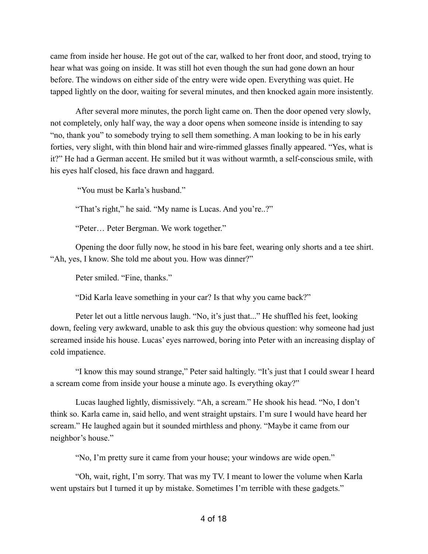came from inside her house. He got out of the car, walked to her front door, and stood, trying to hear what was going on inside. It was still hot even though the sun had gone down an hour before. The windows on either side of the entry were wide open. Everything was quiet. He tapped lightly on the door, waiting for several minutes, and then knocked again more insistently.

After several more minutes, the porch light came on. Then the door opened very slowly, not completely, only half way, the way a door opens when someone inside is intending to say "no, thank you" to somebody trying to sell them something. A man looking to be in his early forties, very slight, with thin blond hair and wire-rimmed glasses finally appeared. "Yes, what is it?" He had a German accent. He smiled but it was without warmth, a self-conscious smile, with his eyes half closed, his face drawn and haggard.

"You must be Karla's husband."

"That's right," he said. "My name is Lucas. And you're..?"

"Peter… Peter Bergman. We work together."

Opening the door fully now, he stood in his bare feet, wearing only shorts and a tee shirt. "Ah, yes, I know. She told me about you. How was dinner?"

Peter smiled. "Fine, thanks."

"Did Karla leave something in your car? Is that why you came back?"

Peter let out a little nervous laugh. "No, it's just that..." He shuffled his feet, looking down, feeling very awkward, unable to ask this guy the obvious question: why someone had just screamed inside his house. Lucas' eyes narrowed, boring into Peter with an increasing display of cold impatience.

"I know this may sound strange," Peter said haltingly. "It's just that I could swear I heard a scream come from inside your house a minute ago. Is everything okay?"

Lucas laughed lightly, dismissively. "Ah, a scream." He shook his head. "No, I don't think so. Karla came in, said hello, and went straight upstairs. I'm sure I would have heard her scream." He laughed again but it sounded mirthless and phony. "Maybe it came from our neighbor's house."

"No, I'm pretty sure it came from your house; your windows are wide open."

"Oh, wait, right, I'm sorry. That was my TV. I meant to lower the volume when Karla went upstairs but I turned it up by mistake. Sometimes I'm terrible with these gadgets."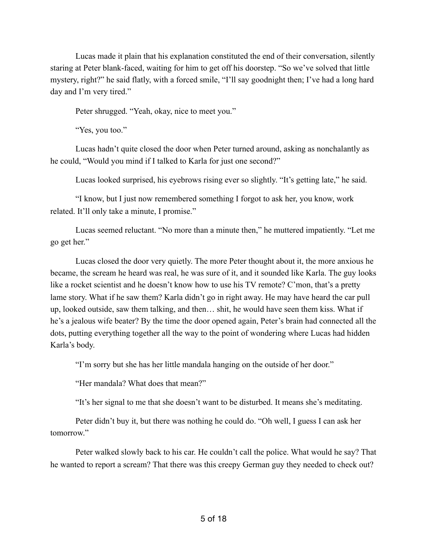Lucas made it plain that his explanation constituted the end of their conversation, silently staring at Peter blank-faced, waiting for him to get off his doorstep. "So we've solved that little mystery, right?" he said flatly, with a forced smile, "I'll say goodnight then; I've had a long hard day and I'm very tired."

Peter shrugged. "Yeah, okay, nice to meet you."

"Yes, you too."

Lucas hadn't quite closed the door when Peter turned around, asking as nonchalantly as he could, "Would you mind if I talked to Karla for just one second?"

Lucas looked surprised, his eyebrows rising ever so slightly. "It's getting late," he said.

"I know, but I just now remembered something I forgot to ask her, you know, work related. It'll only take a minute, I promise."

Lucas seemed reluctant. "No more than a minute then," he muttered impatiently. "Let me go get her."

Lucas closed the door very quietly. The more Peter thought about it, the more anxious he became, the scream he heard was real, he was sure of it, and it sounded like Karla. The guy looks like a rocket scientist and he doesn't know how to use his TV remote? C'mon, that's a pretty lame story. What if he saw them? Karla didn't go in right away. He may have heard the car pull up, looked outside, saw them talking, and then… shit, he would have seen them kiss. What if he's a jealous wife beater? By the time the door opened again, Peter's brain had connected all the dots, putting everything together all the way to the point of wondering where Lucas had hidden Karla's body.

"I'm sorry but she has her little mandala hanging on the outside of her door."

"Her mandala? What does that mean?"

"It's her signal to me that she doesn't want to be disturbed. It means she's meditating.

Peter didn't buy it, but there was nothing he could do. "Oh well, I guess I can ask her tomorrow."

Peter walked slowly back to his car. He couldn't call the police. What would he say? That he wanted to report a scream? That there was this creepy German guy they needed to check out?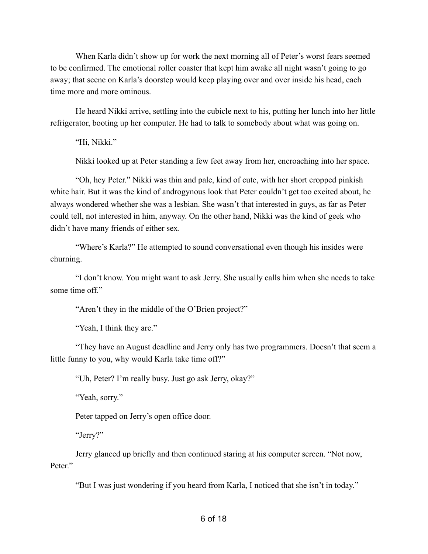When Karla didn't show up for work the next morning all of Peter's worst fears seemed to be confirmed. The emotional roller coaster that kept him awake all night wasn't going to go away; that scene on Karla's doorstep would keep playing over and over inside his head, each time more and more ominous.

He heard Nikki arrive, settling into the cubicle next to his, putting her lunch into her little refrigerator, booting up her computer. He had to talk to somebody about what was going on.

"Hi, Nikki."

Nikki looked up at Peter standing a few feet away from her, encroaching into her space.

"Oh, hey Peter." Nikki was thin and pale, kind of cute, with her short cropped pinkish white hair. But it was the kind of androgynous look that Peter couldn't get too excited about, he always wondered whether she was a lesbian. She wasn't that interested in guys, as far as Peter could tell, not interested in him, anyway. On the other hand, Nikki was the kind of geek who didn't have many friends of either sex.

"Where's Karla?" He attempted to sound conversational even though his insides were churning.

"I don't know. You might want to ask Jerry. She usually calls him when she needs to take some time off."

"Aren't they in the middle of the O'Brien project?"

"Yeah, I think they are."

"They have an August deadline and Jerry only has two programmers. Doesn't that seem a little funny to you, why would Karla take time off?"

"Uh, Peter? I'm really busy. Just go ask Jerry, okay?"

"Yeah, sorry."

Peter tapped on Jerry's open office door.

"Jerry?"

Jerry glanced up briefly and then continued staring at his computer screen. "Not now, Peter"

"But I was just wondering if you heard from Karla, I noticed that she isn't in today."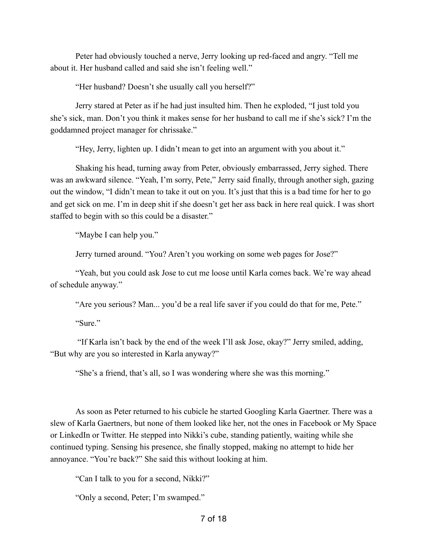Peter had obviously touched a nerve, Jerry looking up red-faced and angry. "Tell me about it. Her husband called and said she isn't feeling well."

"Her husband? Doesn't she usually call you herself?"

Jerry stared at Peter as if he had just insulted him. Then he exploded, "I just told you she's sick, man. Don't you think it makes sense for her husband to call me if she's sick? I'm the goddamned project manager for chrissake."

"Hey, Jerry, lighten up. I didn't mean to get into an argument with you about it."

Shaking his head, turning away from Peter, obviously embarrassed, Jerry sighed. There was an awkward silence. "Yeah, I'm sorry, Pete," Jerry said finally, through another sigh, gazing out the window, "I didn't mean to take it out on you. It's just that this is a bad time for her to go and get sick on me. I'm in deep shit if she doesn't get her ass back in here real quick. I was short staffed to begin with so this could be a disaster."

"Maybe I can help you."

Jerry turned around. "You? Aren't you working on some web pages for Jose?"

"Yeah, but you could ask Jose to cut me loose until Karla comes back. We're way ahead of schedule anyway."

"Are you serious? Man... you'd be a real life saver if you could do that for me, Pete."

"Sure"

 "If Karla isn't back by the end of the week I'll ask Jose, okay?" Jerry smiled, adding, "But why are you so interested in Karla anyway?"

"She's a friend, that's all, so I was wondering where she was this morning."

As soon as Peter returned to his cubicle he started Googling Karla Gaertner. There was a slew of Karla Gaertners, but none of them looked like her, not the ones in Facebook or My Space or LinkedIn or Twitter. He stepped into Nikki's cube, standing patiently, waiting while she continued typing. Sensing his presence, she finally stopped, making no attempt to hide her annoyance. "You're back?" She said this without looking at him.

"Can I talk to you for a second, Nikki?"

"Only a second, Peter; I'm swamped."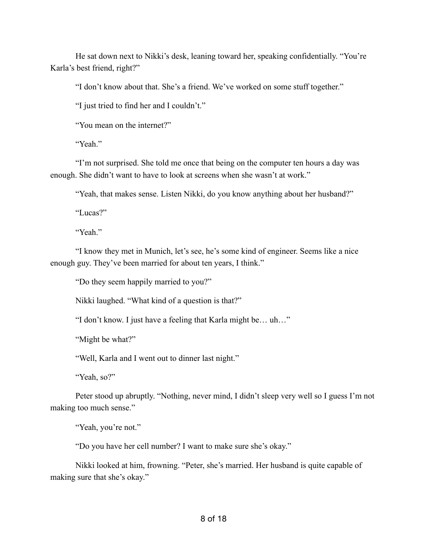He sat down next to Nikki's desk, leaning toward her, speaking confidentially. "You're Karla's best friend, right?"

"I don't know about that. She's a friend. We've worked on some stuff together."

"I just tried to find her and I couldn't."

"You mean on the internet?"

"Yeah"

"I'm not surprised. She told me once that being on the computer ten hours a day was enough. She didn't want to have to look at screens when she wasn't at work."

"Yeah, that makes sense. Listen Nikki, do you know anything about her husband?"

"Lucas?"

"Yeah"

"I know they met in Munich, let's see, he's some kind of engineer. Seems like a nice enough guy. They've been married for about ten years, I think."

"Do they seem happily married to you?"

Nikki laughed. "What kind of a question is that?"

"I don't know. I just have a feeling that Karla might be… uh…"

"Might be what?"

"Well, Karla and I went out to dinner last night."

"Yeah, so?"

Peter stood up abruptly. "Nothing, never mind, I didn't sleep very well so I guess I'm not making too much sense."

"Yeah, you're not."

"Do you have her cell number? I want to make sure she's okay."

Nikki looked at him, frowning. "Peter, she's married. Her husband is quite capable of making sure that she's okay."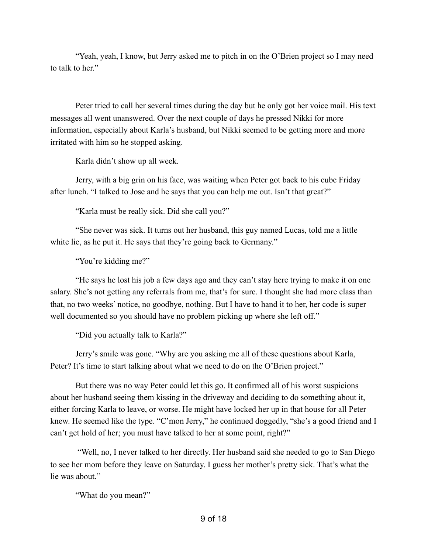"Yeah, yeah, I know, but Jerry asked me to pitch in on the O'Brien project so I may need to talk to her."

Peter tried to call her several times during the day but he only got her voice mail. His text messages all went unanswered. Over the next couple of days he pressed Nikki for more information, especially about Karla's husband, but Nikki seemed to be getting more and more irritated with him so he stopped asking.

Karla didn't show up all week.

Jerry, with a big grin on his face, was waiting when Peter got back to his cube Friday after lunch. "I talked to Jose and he says that you can help me out. Isn't that great?"

"Karla must be really sick. Did she call you?"

"She never was sick. It turns out her husband, this guy named Lucas, told me a little white lie, as he put it. He says that they're going back to Germany."

"You're kidding me?"

"He says he lost his job a few days ago and they can't stay here trying to make it on one salary. She's not getting any referrals from me, that's for sure. I thought she had more class than that, no two weeks' notice, no goodbye, nothing. But I have to hand it to her, her code is super well documented so you should have no problem picking up where she left off."

"Did you actually talk to Karla?"

Jerry's smile was gone. "Why are you asking me all of these questions about Karla, Peter? It's time to start talking about what we need to do on the O'Brien project."

But there was no way Peter could let this go. It confirmed all of his worst suspicions about her husband seeing them kissing in the driveway and deciding to do something about it, either forcing Karla to leave, or worse. He might have locked her up in that house for all Peter knew. He seemed like the type. "C'mon Jerry," he continued doggedly, "she's a good friend and I can't get hold of her; you must have talked to her at some point, right?"

 "Well, no, I never talked to her directly. Her husband said she needed to go to San Diego to see her mom before they leave on Saturday. I guess her mother's pretty sick. That's what the lie was about."

"What do you mean?"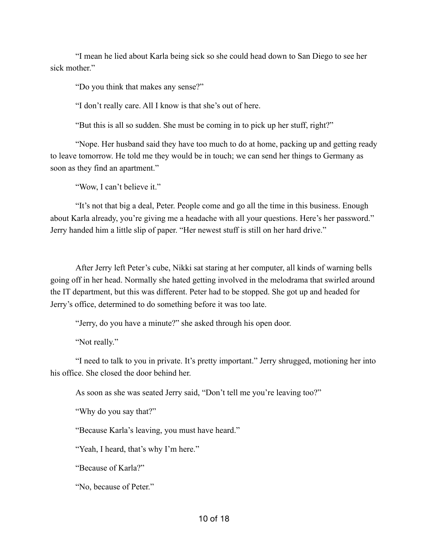"I mean he lied about Karla being sick so she could head down to San Diego to see her sick mother."

"Do you think that makes any sense?"

"I don't really care. All I know is that she's out of here.

"But this is all so sudden. She must be coming in to pick up her stuff, right?"

 "Nope. Her husband said they have too much to do at home, packing up and getting ready to leave tomorrow. He told me they would be in touch; we can send her things to Germany as soon as they find an apartment."

"Wow, I can't believe it."

"It's not that big a deal, Peter. People come and go all the time in this business. Enough about Karla already, you're giving me a headache with all your questions. Here's her password." Jerry handed him a little slip of paper. "Her newest stuff is still on her hard drive."

After Jerry left Peter's cube, Nikki sat staring at her computer, all kinds of warning bells going off in her head. Normally she hated getting involved in the melodrama that swirled around the IT department, but this was different. Peter had to be stopped. She got up and headed for Jerry's office, determined to do something before it was too late.

"Jerry, do you have a minute?" she asked through his open door.

"Not really."

"I need to talk to you in private. It's pretty important." Jerry shrugged, motioning her into his office. She closed the door behind her.

As soon as she was seated Jerry said, "Don't tell me you're leaving too?"

"Why do you say that?"

"Because Karla's leaving, you must have heard."

"Yeah, I heard, that's why I'm here."

"Because of Karla?"

"No, because of Peter."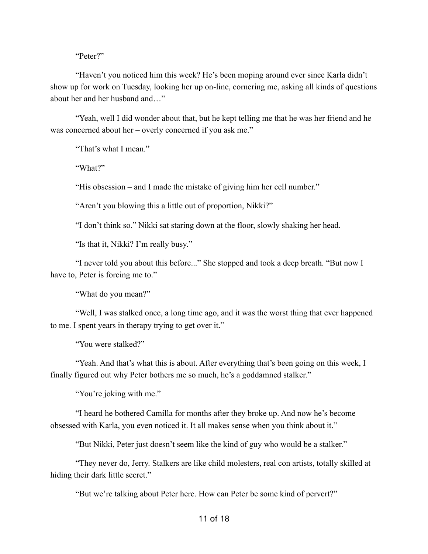"Peter?"

"Haven't you noticed him this week? He's been moping around ever since Karla didn't show up for work on Tuesday, looking her up on-line, cornering me, asking all kinds of questions about her and her husband and…"

"Yeah, well I did wonder about that, but he kept telling me that he was her friend and he was concerned about her – overly concerned if you ask me."

"That's what I mean."

"What?"

"His obsession – and I made the mistake of giving him her cell number."

"Aren't you blowing this a little out of proportion, Nikki?"

"I don't think so." Nikki sat staring down at the floor, slowly shaking her head.

"Is that it, Nikki? I'm really busy."

"I never told you about this before..." She stopped and took a deep breath. "But now I have to, Peter is forcing me to."

"What do you mean?"

"Well, I was stalked once, a long time ago, and it was the worst thing that ever happened to me. I spent years in therapy trying to get over it."

"You were stalked?"

"Yeah. And that's what this is about. After everything that's been going on this week, I finally figured out why Peter bothers me so much, he's a goddamned stalker."

"You're joking with me."

"I heard he bothered Camilla for months after they broke up. And now he's become obsessed with Karla, you even noticed it. It all makes sense when you think about it."

"But Nikki, Peter just doesn't seem like the kind of guy who would be a stalker."

"They never do, Jerry. Stalkers are like child molesters, real con artists, totally skilled at hiding their dark little secret."

"But we're talking about Peter here. How can Peter be some kind of pervert?"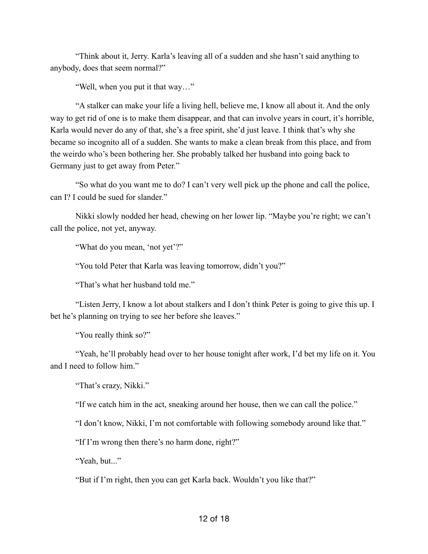"Think about it, Jerry. Karla's leaving all of a sudden and she hasn't said anything to anybody, does that seem normal?"

"Well, when you put it that way…"

"A stalker can make your life a living hell, believe me, I know all about it. And the only way to get rid of one is to make them disappear, and that can involve years in court, it's horrible, Karla would never do any of that, she's a free spirit, she'd just leave. I think that's why she became so incognito all of a sudden. She wants to make a clean break from this place, and from the weirdo who's been bothering her. She probably talked her husband into going back to Germany just to get away from Peter."

"So what do you want me to do? I can't very well pick up the phone and call the police, can I? I could be sued for slander."

Nikki slowly nodded her head, chewing on her lower lip. "Maybe you're right; we can't call the police, not yet, anyway.

"What do you mean, 'not yet'?"

"You told Peter that Karla was leaving tomorrow, didn't you?"

"That's what her husband told me."

"Listen Jerry, I know a lot about stalkers and I don't think Peter is going to give this up. I bet he's planning on trying to see her before she leaves."

"You really think so?"

"Yeah, he'll probably head over to her house tonight after work, I'd bet my life on it. You and I need to follow him."

"That's crazy, Nikki."

"If we catch him in the act, sneaking around her house, then we can call the police."

"I don't know, Nikki, I'm not comfortable with following somebody around like that."

"If I'm wrong then there's no harm done, right?"

"Yeah, but..."

"But if I'm right, then you can get Karla back. Wouldn't you like that?"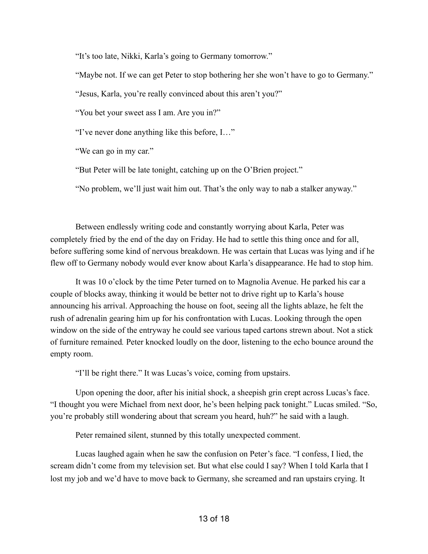"It's too late, Nikki, Karla's going to Germany tomorrow."

"Maybe not. If we can get Peter to stop bothering her she won't have to go to Germany."

"Jesus, Karla, you're really convinced about this aren't you?"

"You bet your sweet ass I am. Are you in?"

"I've never done anything like this before, I…"

"We can go in my car."

"But Peter will be late tonight, catching up on the O'Brien project."

"No problem, we'll just wait him out. That's the only way to nab a stalker anyway."

Between endlessly writing code and constantly worrying about Karla, Peter was completely fried by the end of the day on Friday. He had to settle this thing once and for all, before suffering some kind of nervous breakdown. He was certain that Lucas was lying and if he flew off to Germany nobody would ever know about Karla's disappearance. He had to stop him.

It was 10 o'clock by the time Peter turned on to Magnolia Avenue. He parked his car a couple of blocks away, thinking it would be better not to drive right up to Karla's house announcing his arrival. Approaching the house on foot, seeing all the lights ablaze, he felt the rush of adrenalin gearing him up for his confrontation with Lucas. Looking through the open window on the side of the entryway he could see various taped cartons strewn about. Not a stick of furniture remained*.* Peter knocked loudly on the door, listening to the echo bounce around the empty room.

"I'll be right there." It was Lucas's voice, coming from upstairs.

Upon opening the door, after his initial shock, a sheepish grin crept across Lucas's face. "I thought you were Michael from next door, he's been helping pack tonight." Lucas smiled. "So, you're probably still wondering about that scream you heard, huh?" he said with a laugh.

Peter remained silent, stunned by this totally unexpected comment.

Lucas laughed again when he saw the confusion on Peter's face. "I confess, I lied, the scream didn't come from my television set. But what else could I say? When I told Karla that I lost my job and we'd have to move back to Germany, she screamed and ran upstairs crying. It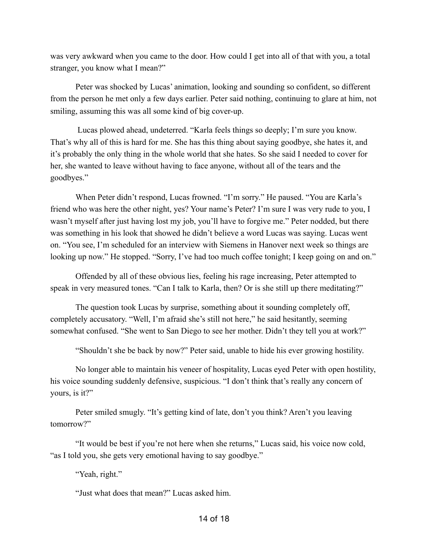was very awkward when you came to the door. How could I get into all of that with you, a total stranger, you know what I mean?"

Peter was shocked by Lucas' animation, looking and sounding so confident, so different from the person he met only a few days earlier. Peter said nothing, continuing to glare at him, not smiling, assuming this was all some kind of big cover-up.

 Lucas plowed ahead, undeterred. "Karla feels things so deeply; I'm sure you know. That's why all of this is hard for me. She has this thing about saying goodbye, she hates it, and it's probably the only thing in the whole world that she hates. So she said I needed to cover for her, she wanted to leave without having to face anyone, without all of the tears and the goodbyes."

When Peter didn't respond, Lucas frowned. "I'm sorry." He paused. "You are Karla's friend who was here the other night, yes? Your name's Peter? I'm sure I was very rude to you, I wasn't myself after just having lost my job, you'll have to forgive me." Peter nodded, but there was something in his look that showed he didn't believe a word Lucas was saying. Lucas went on. "You see, I'm scheduled for an interview with Siemens in Hanover next week so things are looking up now." He stopped. "Sorry, I've had too much coffee tonight; I keep going on and on."

Offended by all of these obvious lies, feeling his rage increasing, Peter attempted to speak in very measured tones. "Can I talk to Karla, then? Or is she still up there meditating?"

The question took Lucas by surprise, something about it sounding completely off, completely accusatory. "Well, I'm afraid she's still not here," he said hesitantly, seeming somewhat confused. "She went to San Diego to see her mother. Didn't they tell you at work?"

"Shouldn't she be back by now?" Peter said, unable to hide his ever growing hostility.

No longer able to maintain his veneer of hospitality, Lucas eyed Peter with open hostility, his voice sounding suddenly defensive, suspicious. "I don't think that's really any concern of yours, is it?"

Peter smiled smugly. "It's getting kind of late, don't you think? Aren't you leaving tomorrow?"

"It would be best if you're not here when she returns," Lucas said, his voice now cold, "as I told you, she gets very emotional having to say goodbye."

"Yeah, right."

"Just what does that mean?" Lucas asked him.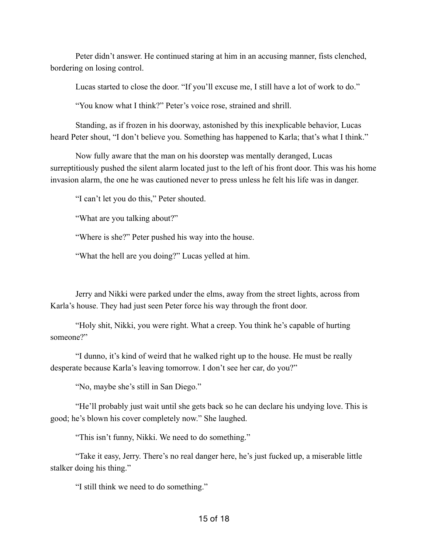Peter didn't answer. He continued staring at him in an accusing manner, fists clenched, bordering on losing control.

Lucas started to close the door. "If you'll excuse me, I still have a lot of work to do."

"You know what I think?" Peter's voice rose, strained and shrill.

Standing, as if frozen in his doorway, astonished by this inexplicable behavior, Lucas heard Peter shout, "I don't believe you. Something has happened to Karla; that's what I think."

Now fully aware that the man on his doorstep was mentally deranged, Lucas surreptitiously pushed the silent alarm located just to the left of his front door. This was his home invasion alarm, the one he was cautioned never to press unless he felt his life was in danger.

"I can't let you do this," Peter shouted.

"What are you talking about?"

"Where is she?" Peter pushed his way into the house.

"What the hell are you doing?" Lucas yelled at him.

Jerry and Nikki were parked under the elms, away from the street lights, across from Karla's house. They had just seen Peter force his way through the front door.

"Holy shit, Nikki, you were right. What a creep. You think he's capable of hurting someone?"

"I dunno, it's kind of weird that he walked right up to the house. He must be really desperate because Karla's leaving tomorrow. I don't see her car, do you?"

"No, maybe she's still in San Diego."

"He'll probably just wait until she gets back so he can declare his undying love. This is good; he's blown his cover completely now." She laughed.

"This isn't funny, Nikki. We need to do something."

"Take it easy, Jerry. There's no real danger here, he's just fucked up, a miserable little stalker doing his thing."

"I still think we need to do something."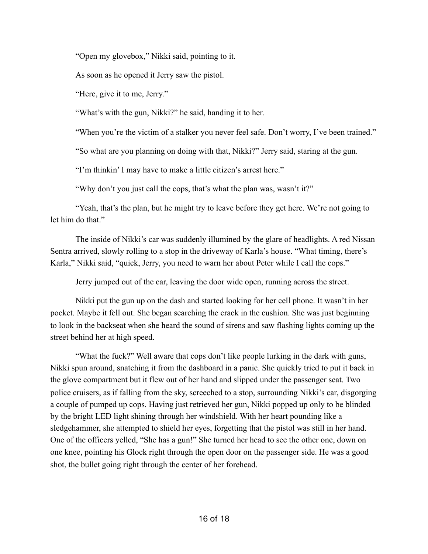"Open my glovebox," Nikki said, pointing to it.

As soon as he opened it Jerry saw the pistol.

"Here, give it to me, Jerry."

"What's with the gun, Nikki?" he said, handing it to her.

"When you're the victim of a stalker you never feel safe. Don't worry, I've been trained."

"So what are you planning on doing with that, Nikki?" Jerry said, staring at the gun.

"I'm thinkin' I may have to make a little citizen's arrest here."

"Why don't you just call the cops, that's what the plan was, wasn't it?"

"Yeah, that's the plan, but he might try to leave before they get here. We're not going to let him do that."

The inside of Nikki's car was suddenly illumined by the glare of headlights. A red Nissan Sentra arrived, slowly rolling to a stop in the driveway of Karla's house. "What timing, there's Karla," Nikki said, "quick, Jerry, you need to warn her about Peter while I call the cops."

Jerry jumped out of the car, leaving the door wide open, running across the street.

Nikki put the gun up on the dash and started looking for her cell phone. It wasn't in her pocket. Maybe it fell out. She began searching the crack in the cushion. She was just beginning to look in the backseat when she heard the sound of sirens and saw flashing lights coming up the street behind her at high speed.

"What the fuck?" Well aware that cops don't like people lurking in the dark with guns, Nikki spun around, snatching it from the dashboard in a panic. She quickly tried to put it back in the glove compartment but it flew out of her hand and slipped under the passenger seat. Two police cruisers, as if falling from the sky, screeched to a stop, surrounding Nikki's car, disgorging a couple of pumped up cops. Having just retrieved her gun, Nikki popped up only to be blinded by the bright LED light shining through her windshield. With her heart pounding like a sledgehammer, she attempted to shield her eyes, forgetting that the pistol was still in her hand. One of the officers yelled, "She has a gun!" She turned her head to see the other one, down on one knee, pointing his Glock right through the open door on the passenger side. He was a good shot, the bullet going right through the center of her forehead.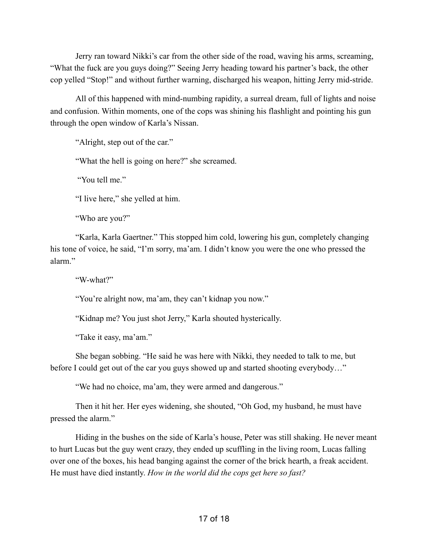Jerry ran toward Nikki's car from the other side of the road, waving his arms, screaming, "What the fuck are you guys doing?" Seeing Jerry heading toward his partner's back, the other cop yelled "Stop!" and without further warning, discharged his weapon, hitting Jerry mid-stride.

All of this happened with mind-numbing rapidity, a surreal dream, full of lights and noise and confusion. Within moments, one of the cops was shining his flashlight and pointing his gun through the open window of Karla's Nissan.

"Alright, step out of the car."

"What the hell is going on here?" she screamed.

"You tell me"

"I live here," she yelled at him.

"Who are you?"

"Karla, Karla Gaertner." This stopped him cold, lowering his gun, completely changing his tone of voice, he said, "I'm sorry, ma'am. I didn't know you were the one who pressed the alarm."

"W-what?"

"You're alright now, ma'am, they can't kidnap you now."

"Kidnap me? You just shot Jerry," Karla shouted hysterically.

"Take it easy, ma'am."

She began sobbing. "He said he was here with Nikki, they needed to talk to me, but before I could get out of the car you guys showed up and started shooting everybody…"

"We had no choice, ma'am, they were armed and dangerous."

Then it hit her. Her eyes widening, she shouted, "Oh God, my husband, he must have pressed the alarm."

Hiding in the bushes on the side of Karla's house, Peter was still shaking. He never meant to hurt Lucas but the guy went crazy, they ended up scuffling in the living room, Lucas falling over one of the boxes, his head banging against the corner of the brick hearth, a freak accident. He must have died instantly. *How in the world did the cops get here so fast?*